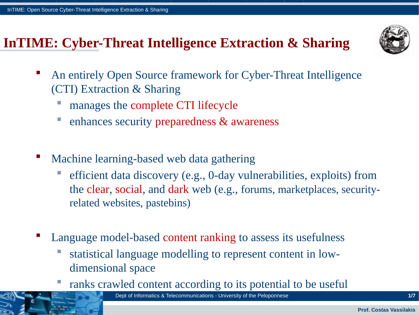## **InTIME: Cyber-Threat Intelligence Extraction & Sharing**



- An entirely Open Source framework for Cyber-Threat Intelligence (CTI) Extraction & Sharing
	- manages the complete CTI lifecycle
	- **enhances security preparedness & awareness**
- Machine learning-based web data gathering
	- efficient data discovery (e.g., 0-day vulnerabilities, exploits) from the clear, social, and dark web (e.g., forums, marketplaces, securityrelated websites, pastebins)
- Language model-based content ranking to assess its usefulness
	- statistical language modelling to represent content in lowdimensional space
	- ranks crawled content according to its potential to be useful

Dept of Informatics & Telecommunications - University of the Peloponnese **1/7**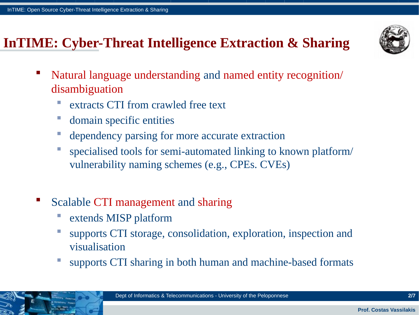#### **InTIME: Cyber-Threat Intelligence Extraction & Sharing**



- Natural language understanding and named entity recognition/ disambiguation
	- **EXTERUARE:** extracts CTI from crawled free text
	- **domain specific entities**
	- dependency parsing for more accurate extraction
	- specialised tools for semi-automated linking to known platform/ vulnerability naming schemes (e.g., CPEs. CVEs)
- Scalable CTI management and sharing
	- extends MISP platform
	- supports CTI storage, consolidation, exploration, inspection and visualisation
	- supports CTI sharing in both human and machine-based formats

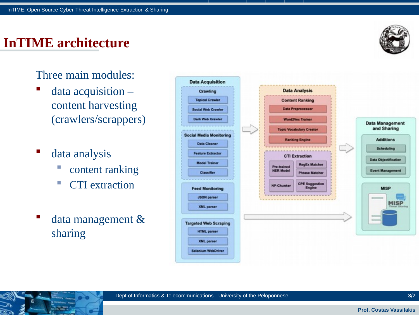#### **InTIME architecture**



Three main modules:

- data acquisition content harvesting (crawlers/scrappers)
- data analysis
	- **Content ranking**
	- **CTI** extraction
- data management & sharing

| Crawling                       |                   | <b>Data Analysis</b>            |  |                             |
|--------------------------------|-------------------|---------------------------------|--|-----------------------------|
| <b>Topical Crawler</b>         |                   | <b>Content Ranking</b>          |  |                             |
| <b>Social Web Crawler</b>      |                   | <b>Data Preprocessor</b>        |  |                             |
| <b>Dark Web Crawler</b>        |                   | <b>WordZVec Trainer</b>         |  | <b>Data Management</b>      |
|                                |                   | <b>Topic Vocabulary Creator</b> |  | and Sharing                 |
| <b>Social Media Monitoring</b> |                   | <b>Ranking Engine</b>           |  | <b>Additions</b>            |
| <b>Data Cleaner</b>            |                   |                                 |  | <b>Scheduling</b>           |
| <b>Feature Extractor</b>       |                   | <b>CTI Extraction</b>           |  | <b>Data Objectification</b> |
| <b>Model Trainer</b>           | Pre-trained       | RegEx Matcher                   |  |                             |
| <b>Classifier</b>              | <b>NER Model</b>  | <b>Phrase Matcher</b>           |  | <b>Event Management</b>     |
| <b>Feed Monitoring</b>         | <b>NP-Chunker</b> | <b>CPE Suggestion</b><br>Engine |  | <b>MISP</b>                 |
| <b>JSON</b> parser             |                   | -------                         |  |                             |
| <b>XML</b> parser              |                   |                                 |  | MISI                        |
|                                |                   |                                 |  |                             |
| <b>Targeted Web Scraping</b>   |                   |                                 |  |                             |
| <b>HTML</b> parser             |                   |                                 |  |                             |
| <b>XML</b> parser              |                   |                                 |  |                             |
| Selenium WebDriver             |                   |                                 |  |                             |

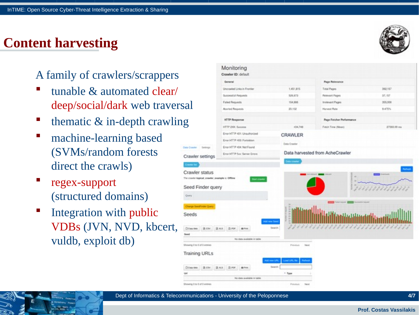## **Content harvesting**

#### A family of crawlers/scrappers

- tunable & automated clear/ deep/social/dark web traversal
- thematic & in-depth crawling
- machine-learning based (SVMs/random forests direct the crawls)
- regex-support (structured domains)
- Integration with public VDBs (JVN, NVD, kbcert, vuldb, exploit db)





Ouerta

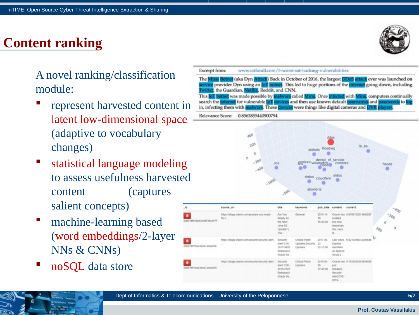#### **Content ranking**



A novel ranking/classification module:

- represent harvested content in latent low-dimensional space (adaptive to vocabulary changes)
- statistical language modeling to assess usefulness harvested content (captures salient concepts)
- machine-learning based (word embeddings/2-layer NNs & CNNs)
- noSQL data store

Excerpt from: www.iotforall.com/5-worst-iot-hacking-vulnerabilities The Mirai Botnet (aka Dyn Attack) Back in October of 2016, the largest DDoS attack ever was launched on ervice provider Dyn using an IoT botnet. This led to huge portions of the internet going down, including witter, the Guardian, Netflix, Reddit, and CNN. This IoT botnet was made possible by malware called Mirai. Once infected with Mirai, computers continually search the internet for vulnerable loT devices and then use known default usernames and passwords to log in, infecting them with malware. These devices were things like digital cameras and DVR players Relevance Score: 0.8563855440900794



| $\mu$                    | SOUND UP                                                   | 1/04                                                                  | keyworlds                                     | pub, cate                        |                                                                  | spone fib                     |                          | W                     |
|--------------------------|------------------------------------------------------------|-----------------------------------------------------------------------|-----------------------------------------------|----------------------------------|------------------------------------------------------------------|-------------------------------|--------------------------|-----------------------|
| ٠                        | https://blogs.oracle.com/javaiant-you-mady-<br><b>RALL</b> | Are You<br>Ready for<br>the Next<br>Java SE<br>Update?  <br>The       | General                                       | $2013 - 11 -$<br>15.<br>15.30:00 | created.<br>hed-new<br>resources.<br>the Liava<br>$R_{\rm{max}}$ | Oracle has 0.6706133214580287 | Ö<br>$\partial_{\theta}$ | $-200$<br>$\mathbb X$ |
| 5dd-10ft19d3ddd7atie4978 | https://blogs.oracle.com/security/security-alert-          | Security:<br>Alert CVE-<br>2017-9805<br>Released [<br>Oracle Se       | Critical Patch<br>Updates.Security<br>Updates | 2017-09-<br>22<br>2010/00        | Equitax<br>ionntified<br>an Apache<br>$sin2$ .                   | Last week. 0.8216238044289645 | ь                        |                       |
| ٠<br>565360674364577     |                                                            | <b>Security</b><br>Aint CVE-<br>2019-2725<br>Released (<br>Oracle Se. | Critical Patch<br>Updates:                    | 2019-04<br>26<br>17.43.00        | junt :<br>released<br><b>Security</b><br>Alert CVE-<br>2019-     | Oracle has 0.792926025360485  |                          |                       |

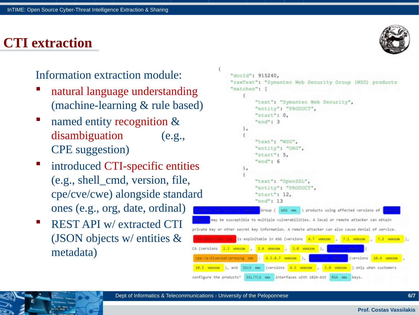#### **CTI extraction**

#### Information extraction module:

- natural language understanding (machine-learning & rule based)
- named entity recognition & disambiguation (e.g., CPE suggestion)
- introduced CTI-specific entities (e.g., shell\_cmd, version, file, cpe/cve/cwe) alongside standard ones (e.g., org, date, ordinal)
- REST API w/ extracted CTI (JSON objects w/ entities & metadata)

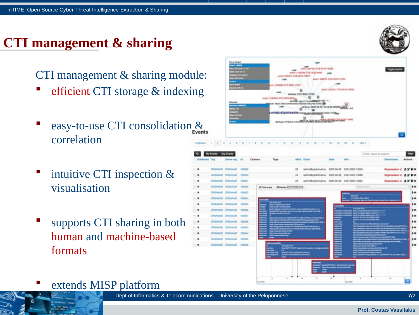## **CTI management & sharing**

CTI management & sharing module:

- efficient CTI storage & indexing
- easy-to-use CTI consolidation & correlation
- intuitive CTI inspection & visualisation
- supports CTI sharing in both human and machine-based formats



extends MISP platform



Dept of Informatics & Telecommunications - University of the Peloponnese **7/7**

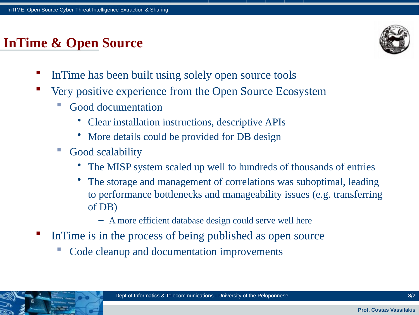## **InTime & Open Source**



- InTime has been built using solely open source tools
- Very positive experience from the Open Source Ecosystem
	- Good documentation
		- Clear installation instructions, descriptive APIs
		- More details could be provided for DB design
	- **Good scalability** 
		- The MISP system scaled up well to hundreds of thousands of entries
		- The storage and management of correlations was suboptimal, leading to performance bottlenecks and manageability issues (e.g. transferring of DB)
			- A more efficient database design could serve well here
- InTime is in the process of being published as open source
	- Code cleanup and documentation improvements